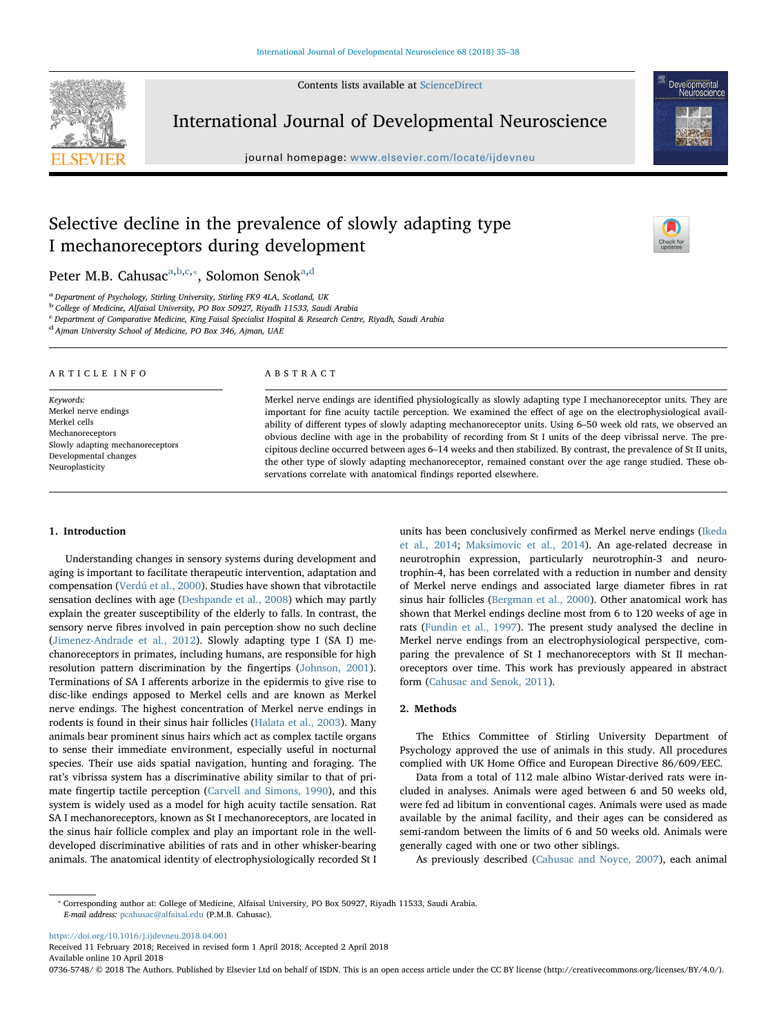Contents lists available at [ScienceDirect](http://www.sciencedirect.com/science/journal/07365748)



International Journal of Developmental Neuroscience

journal homepage: [www.elsevier.com/locate/ijdevneu](https://www.elsevier.com/locate/ijdevneu)



# Selective decline in the prevalence of slowly adapting type I mechanoreceptors during development



Peter M.B. C[a](#page-0-0)husac<sup>a[,b,](#page-0-1)[c](#page-0-2),\*</sup>, Solomon Senok<sup>[a,](#page-0-0)[d](#page-0-4)</sup>

<span id="page-0-0"></span><sup>a</sup> Department of Psychology, Stirling University, Stirling FK9 4LA, Scotland, UK

<span id="page-0-1"></span><sup>b</sup> College of Medicine, Alfaisal University, PO Box 50927, Riyadh 11533, Saudi Arabia

<span id="page-0-2"></span>c Department of Comparative Medicine, King Faisal Specialist Hospital & Research Centre, Riyadh, Saudi Arabia

<span id="page-0-4"></span> $d$  Ajman University School of Medicine, PO Box 346, Ajman, UAE

ARTICLE INFO

Keywords: Merkel nerve endings Merkel cells Mechanoreceptors Slowly adapting mechanoreceptors Developmental changes Neuroplasticity

#### ABSTRACT

Merkel nerve endings are identified physiologically as slowly adapting type I mechanoreceptor units. They are important for fine acuity tactile perception. We examined the effect of age on the electrophysiological availability of different types of slowly adapting mechanoreceptor units. Using 6–50 week old rats, we observed an obvious decline with age in the probability of recording from St I units of the deep vibrissal nerve. The precipitous decline occurred between ages 6–14 weeks and then stabilized. By contrast, the prevalence of St II units, the other type of slowly adapting mechanoreceptor, remained constant over the age range studied. These observations correlate with anatomical findings reported elsewhere.

# 1. Introduction

Understanding changes in sensory systems during development and aging is important to facilitate therapeutic intervention, adaptation and compensation ([Verdú et al., 2000](#page-3-0)). Studies have shown that vibrotactile sensation declines with age ([Deshpande et al., 2008\)](#page-3-1) which may partly explain the greater susceptibility of the elderly to falls. In contrast, the sensory nerve fibres involved in pain perception show no such decline ([Jimenez-Andrade et al., 2012](#page-3-2)). Slowly adapting type I (SA I) mechanoreceptors in primates, including humans, are responsible for high resolution pattern discrimination by the fingertips ([Johnson, 2001](#page-3-3)). Terminations of SA I afferents arborize in the epidermis to give rise to disc-like endings apposed to Merkel cells and are known as Merkel nerve endings. The highest concentration of Merkel nerve endings in rodents is found in their sinus hair follicles [\(Halata et al., 2003](#page-3-4)). Many animals bear prominent sinus hairs which act as complex tactile organs to sense their immediate environment, especially useful in nocturnal species. Their use aids spatial navigation, hunting and foraging. The rat's vibrissa system has a discriminative ability similar to that of primate fingertip tactile perception [\(Carvell and Simons, 1990\)](#page-3-5), and this system is widely used as a model for high acuity tactile sensation. Rat SA I mechanoreceptors, known as St I mechanoreceptors, are located in the sinus hair follicle complex and play an important role in the welldeveloped discriminative abilities of rats and in other whisker-bearing animals. The anatomical identity of electrophysiologically recorded St I units has been conclusively confirmed as Merkel nerve endings [\(Ikeda](#page-3-6) [et al., 2014;](#page-3-6) [Maksimovic et al., 2014](#page-3-7)). An age-related decrease in neurotrophin expression, particularly neurotrophin-3 and neurotrophin-4, has been correlated with a reduction in number and density of Merkel nerve endings and associated large diameter fibres in rat sinus hair follicles [\(Bergman et al., 2000](#page-3-8)). Other anatomical work has shown that Merkel endings decline most from 6 to 120 weeks of age in rats [\(Fundin et al., 1997](#page-3-9)). The present study analysed the decline in Merkel nerve endings from an electrophysiological perspective, comparing the prevalence of St I mechanoreceptors with St II mechanoreceptors over time. This work has previously appeared in abstract form [\(Cahusac and Senok, 2011\)](#page-3-10).

# 2. Methods

The Ethics Committee of Stirling University Department of Psychology approved the use of animals in this study. All procedures complied with UK Home Office and European Directive 86/609/EEC.

Data from a total of 112 male albino Wistar-derived rats were included in analyses. Animals were aged between 6 and 50 weeks old, were fed ad libitum in conventional cages. Animals were used as made available by the animal facility, and their ages can be considered as semi-random between the limits of 6 and 50 weeks old. Animals were generally caged with one or two other siblings.

As previously described [\(Cahusac and Noyce, 2007](#page-3-11)), each animal

<https://doi.org/10.1016/j.ijdevneu.2018.04.001>

Received 11 February 2018; Received in revised form 1 April 2018; Accepted 2 April 2018 Available online 10 April 2018

0736-5748/ © 2018 The Authors. Published by Elsevier Ltd on behalf of ISDN. This is an open access article under the CC BY license (http://creativecommons.org/licenses/BY/4.0/).

<span id="page-0-3"></span><sup>⁎</sup> Corresponding author at: College of Medicine, Alfaisal University, PO Box 50927, Riyadh 11533, Saudi Arabia. E-mail address: [pcahusac@alfaisal.edu](mailto:pcahusac@alfaisal.edu) (P.M.B. Cahusac).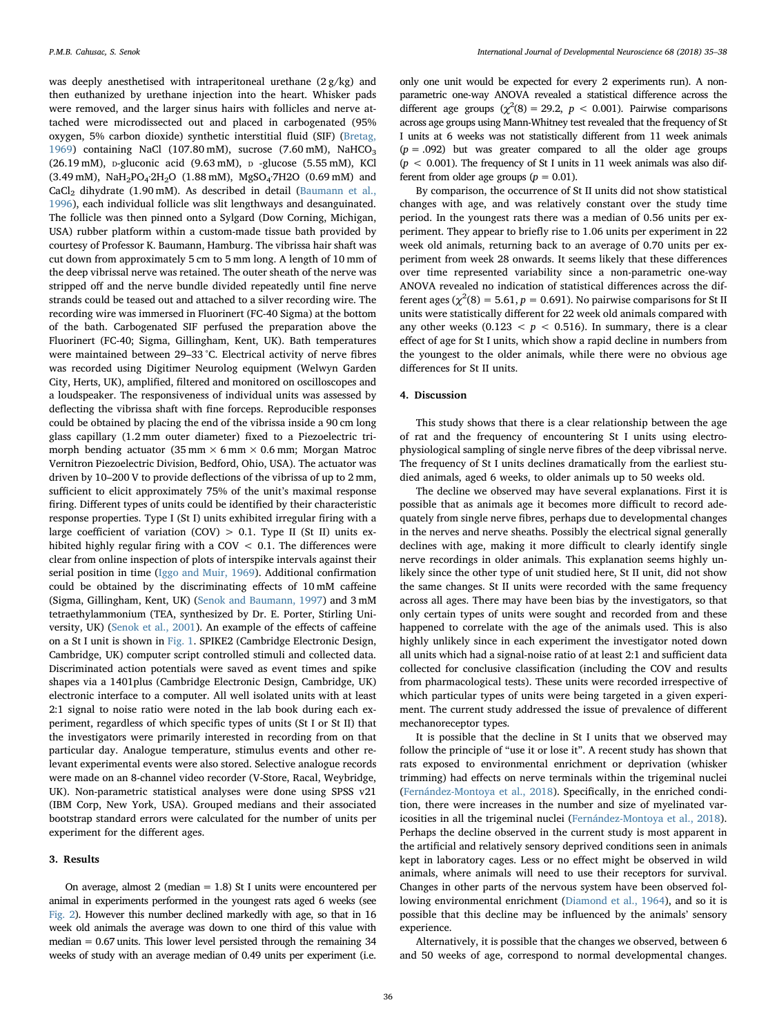was deeply anesthetised with intraperitoneal urethane  $(2g/kg)$  and then euthanized by urethane injection into the heart. Whisker pads were removed, and the larger sinus hairs with follicles and nerve attached were microdissected out and placed in carbogenated (95% oxygen, 5% carbon dioxide) synthetic interstitial fluid (SIF) ([Bretag,](#page-3-12) [1969\)](#page-3-12) containing NaCl (107.80 mM), sucrose (7.60 mM), NaHCO<sub>3</sub> (26.19 mM), D-gluconic acid (9.63 mM), <sup>D</sup> -glucose (5.55 mM), KCl (3.49 mM), NaH<sub>2</sub>PO<sub>4</sub>·2H<sub>2</sub>O (1.88 mM), MgSO<sub>4</sub>·7H2O (0.69 mM) and CaCl2 dihydrate (1.90 mM). As described in detail [\(Baumann et al.,](#page-3-13) [1996\)](#page-3-13), each individual follicle was slit lengthways and desanguinated. The follicle was then pinned onto a Sylgard (Dow Corning, Michigan, USA) rubber platform within a custom-made tissue bath provided by courtesy of Professor K. Baumann, Hamburg. The vibrissa hair shaft was cut down from approximately 5 cm to 5 mm long. A length of 10 mm of the deep vibrissal nerve was retained. The outer sheath of the nerve was stripped off and the nerve bundle divided repeatedly until fine nerve strands could be teased out and attached to a silver recording wire. The recording wire was immersed in Fluorinert (FC-40 Sigma) at the bottom of the bath. Carbogenated SIF perfused the preparation above the Fluorinert (FC-40; Sigma, Gillingham, Kent, UK). Bath temperatures were maintained between 29–33 °C. Electrical activity of nerve fibres was recorded using Digitimer Neurolog equipment (Welwyn Garden City, Herts, UK), amplified, filtered and monitored on oscilloscopes and a loudspeaker. The responsiveness of individual units was assessed by deflecting the vibrissa shaft with fine forceps. Reproducible responses could be obtained by placing the end of the vibrissa inside a 90 cm long glass capillary (1.2 mm outer diameter) fixed to a Piezoelectric trimorph bending actuator (35 mm  $\times$  6 mm  $\times$  0.6 mm; Morgan Matroc Vernitron Piezoelectric Division, Bedford, Ohio, USA). The actuator was driven by 10–200 V to provide deflections of the vibrissa of up to 2 mm, sufficient to elicit approximately 75% of the unit's maximal response firing. Different types of units could be identified by their characteristic response properties. Type I (St I) units exhibited irregular firing with a large coefficient of variation  $(COV) > 0.1$ . Type II (St II) units exhibited highly regular firing with a COV < 0.1. The differences were clear from online inspection of plots of interspike intervals against their serial position in time ([Iggo and Muir, 1969](#page-3-14)). Additional confirmation could be obtained by the discriminating effects of 10 mM caffeine (Sigma, Gillingham, Kent, UK) ([Senok and Baumann, 1997](#page-3-15)) and 3 mM tetraethylammonium (TEA, synthesized by Dr. E. Porter, Stirling University, UK) ([Senok et al., 2001](#page-3-16)). An example of the effects of caffeine on a St I unit is shown in [Fig. 1.](#page-2-0) SPIKE2 (Cambridge Electronic Design, Cambridge, UK) computer script controlled stimuli and collected data. Discriminated action potentials were saved as event times and spike shapes via a 1401plus (Cambridge Electronic Design, Cambridge, UK) electronic interface to a computer. All well isolated units with at least 2:1 signal to noise ratio were noted in the lab book during each experiment, regardless of which specific types of units (St I or St II) that the investigators were primarily interested in recording from on that particular day. Analogue temperature, stimulus events and other relevant experimental events were also stored. Selective analogue records were made on an 8-channel video recorder (V-Store, Racal, Weybridge, UK). Non-parametric statistical analyses were done using SPSS v21 (IBM Corp, New York, USA). Grouped medians and their associated bootstrap standard errors were calculated for the number of units per experiment for the different ages.

### 3. Results

On average, almost 2 (median = 1.8) St I units were encountered per animal in experiments performed in the youngest rats aged 6 weeks (see [Fig. 2](#page-2-1)). However this number declined markedly with age, so that in 16 week old animals the average was down to one third of this value with  $median = 0.67$  units. This lower level persisted through the remaining 34 weeks of study with an average median of 0.49 units per experiment (i.e.

only one unit would be expected for every 2 experiments run). A nonparametric one-way ANOVA revealed a statistical difference across the different age groups  $(\chi^2(8) = 29.2, p < 0.001)$ . Pairwise comparisons across age groups using Mann-Whitney test revealed that the frequency of St I units at 6 weeks was not statistically different from 11 week animals  $(p = .092)$  but was greater compared to all the older age groups  $(p < 0.001)$ . The frequency of St I units in 11 week animals was also different from older age groups ( $p = 0.01$ ).

By comparison, the occurrence of St II units did not show statistical changes with age, and was relatively constant over the study time period. In the youngest rats there was a median of 0.56 units per experiment. They appear to briefly rise to 1.06 units per experiment in 22 week old animals, returning back to an average of 0.70 units per experiment from week 28 onwards. It seems likely that these differences over time represented variability since a non-parametric one-way ANOVA revealed no indication of statistical differences across the different ages ( $\chi^2(8) = 5.61$ ,  $p = 0.691$ ). No pairwise comparisons for St II units were statistically different for 22 week old animals compared with any other weeks (0.123  $\lt p \lt 0.516$ ). In summary, there is a clear effect of age for St I units, which show a rapid decline in numbers from the youngest to the older animals, while there were no obvious age differences for St II units.

# 4. Discussion

This study shows that there is a clear relationship between the age of rat and the frequency of encountering St I units using electrophysiological sampling of single nerve fibres of the deep vibrissal nerve. The frequency of St I units declines dramatically from the earliest studied animals, aged 6 weeks, to older animals up to 50 weeks old.

The decline we observed may have several explanations. First it is possible that as animals age it becomes more difficult to record adequately from single nerve fibres, perhaps due to developmental changes in the nerves and nerve sheaths. Possibly the electrical signal generally declines with age, making it more difficult to clearly identify single nerve recordings in older animals. This explanation seems highly unlikely since the other type of unit studied here, St II unit, did not show the same changes. St II units were recorded with the same frequency across all ages. There may have been bias by the investigators, so that only certain types of units were sought and recorded from and these happened to correlate with the age of the animals used. This is also highly unlikely since in each experiment the investigator noted down all units which had a signal-noise ratio of at least 2:1 and sufficient data collected for conclusive classification (including the COV and results from pharmacological tests). These units were recorded irrespective of which particular types of units were being targeted in a given experiment. The current study addressed the issue of prevalence of different mechanoreceptor types.

It is possible that the decline in St I units that we observed may follow the principle of "use it or lose it". A recent study has shown that rats exposed to environmental enrichment or deprivation (whisker trimming) had effects on nerve terminals within the trigeminal nuclei ([Fernández-Montoya et al., 2018](#page-3-17)). Specifically, in the enriched condition, there were increases in the number and size of myelinated varicosities in all the trigeminal nuclei ([Fernández-Montoya et al., 2018](#page-3-17)). Perhaps the decline observed in the current study is most apparent in the artificial and relatively sensory deprived conditions seen in animals kept in laboratory cages. Less or no effect might be observed in wild animals, where animals will need to use their receptors for survival. Changes in other parts of the nervous system have been observed following environmental enrichment ([Diamond et al., 1964\)](#page-3-18), and so it is possible that this decline may be influenced by the animals' sensory experience.

Alternatively, it is possible that the changes we observed, between 6 and 50 weeks of age, correspond to normal developmental changes.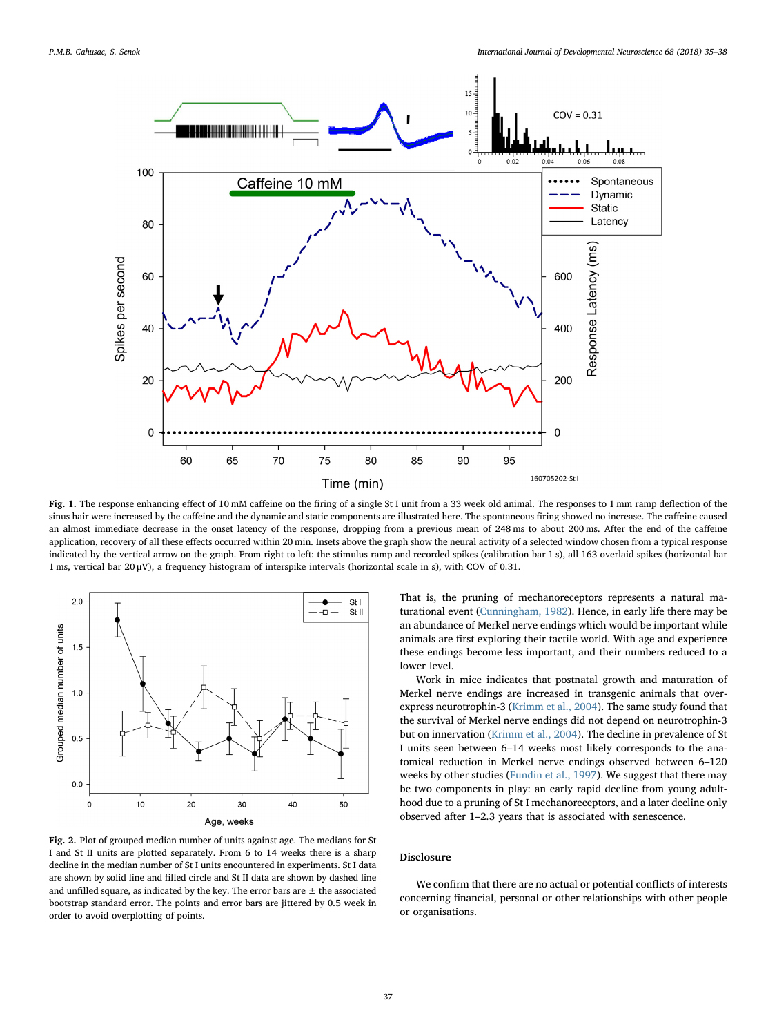<span id="page-2-0"></span>

Fig. 1. The response enhancing effect of 10 mM caffeine on the firing of a single St I unit from a 33 week old animal. The responses to 1 mm ramp deflection of the sinus hair were increased by the caffeine and the dynamic and static components are illustrated here. The spontaneous firing showed no increase. The caffeine caused an almost immediate decrease in the onset latency of the response, dropping from a previous mean of 248 ms to about 200 ms. After the end of the caffeine application, recovery of all these effects occurred within 20 min. Insets above the graph show the neural activity of a selected window chosen from a typical response indicated by the vertical arrow on the graph. From right to left: the stimulus ramp and recorded spikes (calibration bar 1 s), all 163 overlaid spikes (horizontal bar 1 ms, vertical bar 20 μV), a frequency histogram of interspike intervals (horizontal scale in s), with COV of 0.31.

<span id="page-2-1"></span>

Fig. 2. Plot of grouped median number of units against age. The medians for St I and St II units are plotted separately. From 6 to 14 weeks there is a sharp decline in the median number of St I units encountered in experiments. St I data are shown by solid line and filled circle and St II data are shown by dashed line and unfilled square, as indicated by the key. The error bars are  $\pm$  the associated bootstrap standard error. The points and error bars are jittered by 0.5 week in order to avoid overplotting of points.

That is, the pruning of mechanoreceptors represents a natural maturational event [\(Cunningham, 1982](#page-3-19)). Hence, in early life there may be an abundance of Merkel nerve endings which would be important while animals are first exploring their tactile world. With age and experience these endings become less important, and their numbers reduced to a lower level.

Work in mice indicates that postnatal growth and maturation of Merkel nerve endings are increased in transgenic animals that overexpress neurotrophin-3 ([Krimm et al., 2004](#page-3-20)). The same study found that the survival of Merkel nerve endings did not depend on neurotrophin-3 but on innervation ([Krimm et al., 2004\)](#page-3-20). The decline in prevalence of St I units seen between 6–14 weeks most likely corresponds to the anatomical reduction in Merkel nerve endings observed between 6–120 weeks by other studies [\(Fundin et al., 1997\)](#page-3-9). We suggest that there may be two components in play: an early rapid decline from young adulthood due to a pruning of St I mechanoreceptors, and a later decline only observed after 1–2.3 years that is associated with senescence.

#### Disclosure

We confirm that there are no actual or potential conflicts of interests concerning financial, personal or other relationships with other people or organisations.